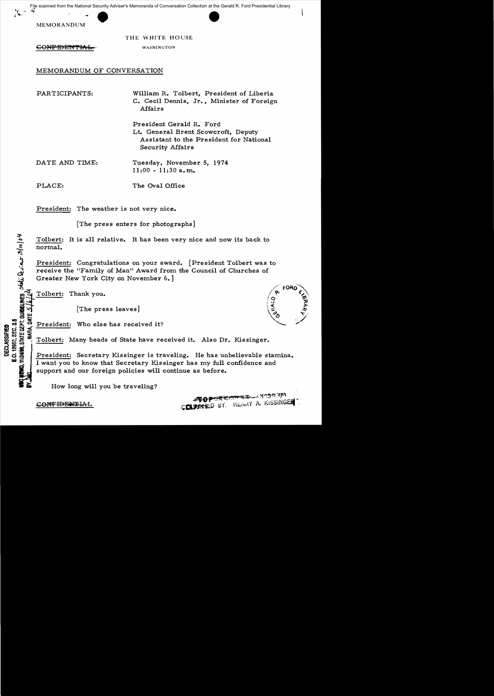Example from the National Security Advise<br>MEMORANDUM File scanned from the National Security Adviser's Memoranda of Conversation Collection at the Gerald R. Ford Presidential Library



THE WHITE HOUSE WASHINGTON

**CONPIDENTIAL** 

### MEMORANDUM OF CONVERSATION

PARTICIPANTS: William R. Tolbert, President of Liberia C. Cecil Dennis, Jr., Minister of Foreign Affairs

> President Gerald R. Ford Lt. General Brent Scowcroft, Deputy Assistant to the President for National Security Affairs

DATE AND TIME: Tuesday, November 5, 1974  $11:00 - 11:30$  a.m.

PLACE: The Oval Office

President: The weather is not very nice.

[The press enters for photographs]

Tolbert: It is all relative. It has been very nice and now its back to normal.

President: Congratulations on your award. [President Tolbert was to receive the "Family of Man" Award from the Council of Churches of Greater New York City on November 6.]

Tolbert: Thank you.

.

::t-

**URBELINI** w

[The press leaves]

 $n \times F$ 

 $\frac{\infty}{16}$   $\frac{\infty}{16}$   $\frac{\infty}{16}$  Tolbert: Many heads of State have received it. Also Dr. Kissinger.

en Contract President: Who else has received it?<br>
So Exist Second President: Many heads of State have re<br>
So Exist Second President: Secretary Kissinger is training and President: Secretary Kissinger is training and Contra ECLA<br>. 1295<br>. **1293**<br>. President: Secretary Kissinger is traveling. He has unbelievable stamina. **I** want you to know that Secretary Kissinger has my full confidence and support and our foreign policies will continue as before. -

How long will you be traveling?

COUSSEED BY. HENRY A. KISSINGER

CONFIDENTIAL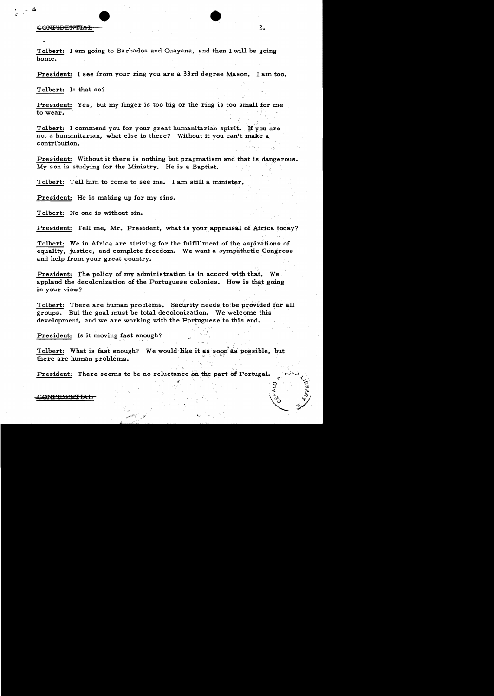#### CONFIDENTIAL

Tolbert: I am going to Barbados and Guayana, and then I will be going home.

President: I see from your ring you are a 33rd degree Mason. I am too.

Tolbert: Is that so?

President: Yes, but my finger is too big or the ring is too small for me to wear.

Tolbert: I commend you for your great humanitarian spirit. If you are not a humanitarian, what else is there? Without it you can't make a contribution.

President: Without it there is nothing but pragmatism and that is dangerous. My son is studying for the Ministry. He is a Baptist.

Tolbert: Tell him to come to see me. I am still a minister.

President: He is making up for my sins.

Tolbert: No one is without sin.

President: Tell me, Mr. President, what is your appraisal of Africa today?

Tolbert: We in Africa are striving for the fulfillment of the aspirations of equality, justice, and complete freedom. We want a sympathetic Congress and help from your great country.

President: The policy of my administration is in accord with that. We applaud the decolonization of the Portuguese colonies. How is that going in your view?

Tolbert: There are human problems. Security needs to be provided for all groups. But the goal must be total decolonization. We welcome this development, and we are working with the Portuguese to this end.

President: Is it moving fast enough?

Tolbert: What is fast enough? We would like it as soon as possible, but there are human problems.

President: There seems to be no reluctance on the part of Portugal.

CONFIDENTIAL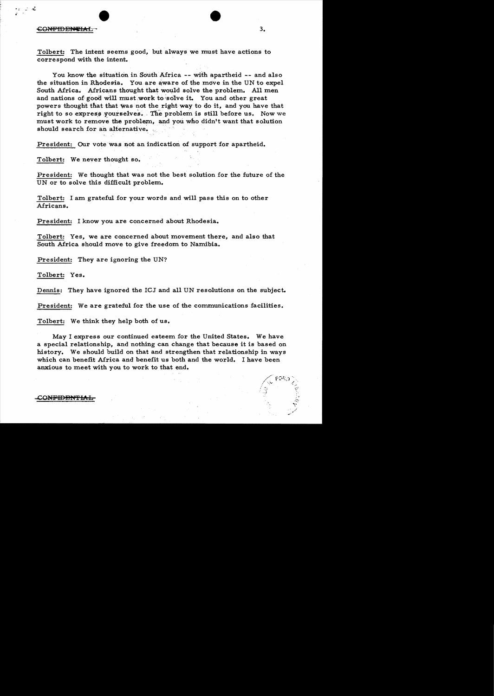## CONFIDENTIAL 3.

 $\cdot$  ,  $\cdot$  .  $\cdot$  .

Tolbert: The intent seems good, but always we must have actions to correspond with the intent.

You know the situation in South Africa -- with apartheid -- and also the situation in Rhodesia. You are aware of the move in the UN to expel South Africa. Africans thought that would solve the problem. All men and nations of good will must work to solve it. You and other great powers thought that that \Vas not the right way to do it, and you have that right to so express yourselves. The problem is still before us. Now we must work to remove the problem, and you who didn't want that solution should search for an alternative.

President: Our vote was not an indication of support for apartheid.

Tolbert: We never thought so.

President: We thought that was not the best solution for the future of the UN or to solve this difficult problem.

Tolbert: I am grateful for your words and wi11 pass this on to other Africans.

President: I know you are concerned about Rhodesia.

Tolbert: Yes, we are concerned about movement there, and also that South Africa should move to give freedom to Namibia.

President: They are ignoring the UN?

Tolbert: Yes.

Dennis: They have ignored the ICJ and all UN resolutions on the subject.

President: We are grateful for the use of the communications facilities.

Tolbert: We think they help both of us.

May I express our continued esteem for the United States. We have a special relationship, and nothing can change that because it is based on history. We should build on that and strengthen that relationship in ways which can benefit Africa and benefit us both and the world. I have been anxious to meet with you to work to that end.

#### CONFIDENTIAL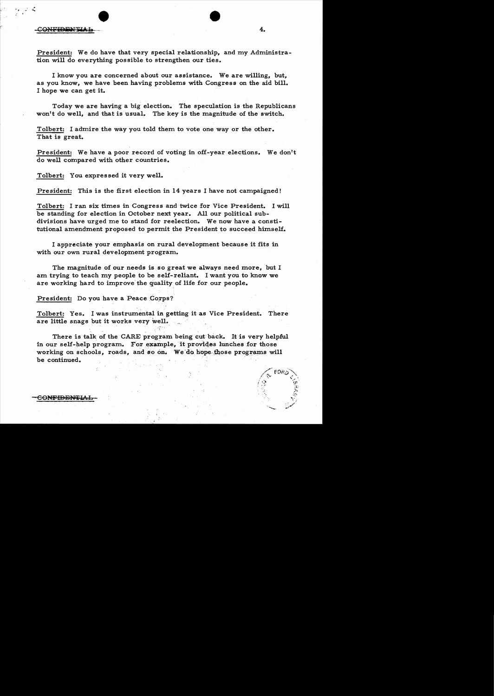## CONFIDENTIAL 4.

.

President: We do have that very special relationship, and my Administration will do everything possible to strengthen our ties.

I know you are concerned about our assistance. We are willing, but, as you know, we have been having problems with Congress on the aid bill. I hope we can get it.

Today we are having a big election. The speculation is the Republicans won't do well, and that is usual. The key is the magnitude of the switch.

Tolbert: I admire the way you told them to vote one way or the other. That is great.

President: We have a poor record of voting in off-year elections. We don't do well compared with other countries.

Tolbert: You expressed it very well.

President: This is the first election in 14 years I have not campaigned!

Tolbert: I ran six times in Congress and twice for Vice President. I will be standing for election in October next year. All our political subdivisions have urged me to stand for reelection. We now have a constitutional amendment proposed to permit the President to succeed himself.

I appreciate your emphasis on rural development because it fits in with our own rural development program.

The magnitude of our needs is so great we always need more, but I am trying to teach my people to be self-reliant. I want you to know we are working hard to improve the quality of life for our people.

President: Do you have a Peace Corps?

Tolbert: Yes. I was instrumental in getting it as Vice President. There are little snags but it works very well.

There is talk of the CARE program being cut back. It is very helpful in our self-help program. For example, it provides lunches for those working on schools, roads, and so on. We do hope those programs will be continued. .

CONFIDENTIAI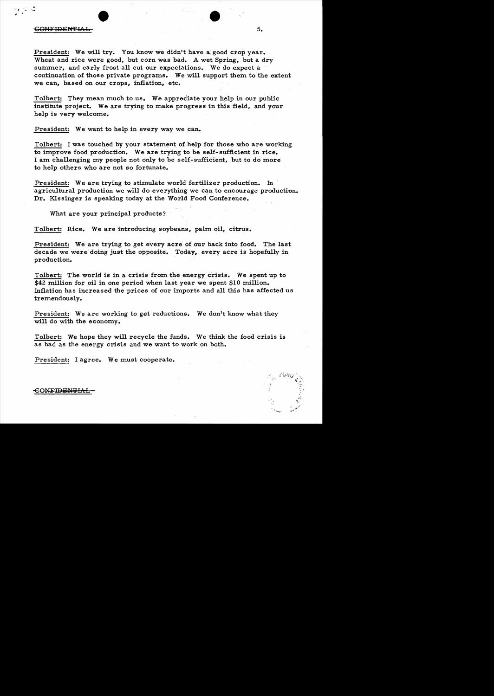### et al. 1998 . In the set of the set of the set of the set of the set of the set of the set of the set of the set of the set of the set of the set of the set of the set of the set of the set of the set of the set of the set  $\sim$  5.

President: We will try. You know we didn't have a good crop year. Wheat and rice were good, but corn was bad. A wet Spring, but a dry summer, and early frost all cut our expectations. We do expect a continuation of those private programs. We will support them to the extent we can, based on our crops, inflation, etc.

Tolbert: They mean much to us. We appreciate your help in our public institute project. We are trying to make progress in this field, and your help is very welcome.

President: We want to help in every way we can.

Tolbert: I was touched by your statement of help for those who are working to improve food production. We are trying to be self-sufficient in rice. I am challenging my people not only to be self-sufficient, but to do more to help others who are not so fortunate.

President: We are trying to stimulate world fertilizer production. In agricultural production we will do everything we can to encourage production. Dr. Kissinger is speaking today at the World Food Conference.

What are your principal products?

Tolbert: Rice. We are introducing soybeans, palm oil, citrus.

President: We are trying to get every acre of our back into food. The last decade we were doing just the opposite. Today, every acre is hopefully in production.

Tolbert: The world is in a crisis from the energy crisis. We spent up to \$42 million for oil in one period when last year we spent \$10 million. Inflation has increased the prices of our imports and all this has affected us tremendously.

President: We are working to get reductions. We don't know what they will do with the economy.

Tolbert: We hope they will recycle the funds. We think the food crisis is as bad as the energy crisis and we want to work on both.

President: I agree. We must cooperate.

#### **CONFIDENTIAL**

. "'....\_